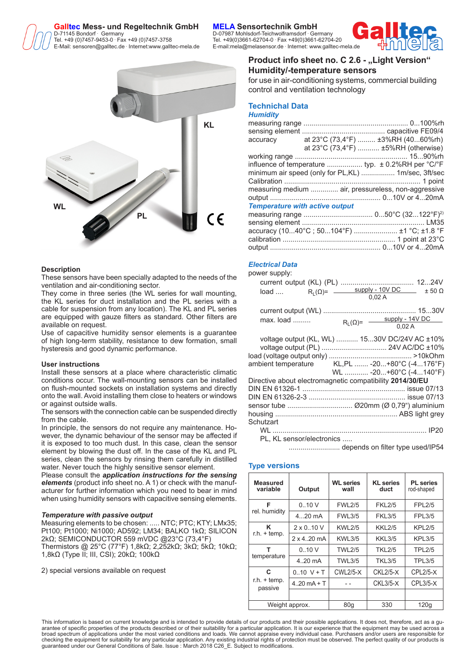#### **Galltec Mess- und Regeltechnik GmbH** D-71145 Bondorf **Germany**

Tel. +49 (0)7457-9453-0 **.** E-Mail: sensoren@galltec.de **.**

# **KL WL PL**( F

# **Description**

These sensors have been specially adapted to the needs of the ventilation and air-conditioning sector.

They come in three series (the WL series for wall mounting, the KL series for duct installation and the PL series with a cable for suspension from any location). The KL and PL series are equipped with gauze filters as standard. Other filters are available on request.

Use of capacitive humidity sensor elements is a guarantee of high long-term stability, resistance to dew formation, small hysteresis and good dynamic performance.

#### **User instructions**

Install these sensors at a place where characteristic climatic conditions occur. The wall-mounting sensors can be installed on flush-mounted sockets on installation systems and directly onto the wall. Avoid installing them close to heaters or windows or against outside walls.

The sensors with the connection cable can be suspended directly from the cable.

In principle, the sensors do not require any maintenance. However, the dynamic behaviour of the sensor may be affected if it is exposed to too much dust. In this case, clean the sensor element by blowing the dust off. In the case of the KL and PL series, clean the sensors by rinsing them carefully in distilled water. Never touch the highly sensitive sensor element.

Please consult the *application instructions for the sensing elements* (product info sheet no. A 1) or check with the manufacturer for further information which you need to bear in mind when using humidity sensors with capacitive sensing elements.

# *Temperature with passive output*

Measuring elements to be chosen: ..... NTC; PTC; KTY; LMx35; Pt100; Pt1000; Ni1000; AD592; LM34; BALKO 1kΩ; SILICON 2kΩ; SEMICONDUCTOR 559 mVDC @23°C (73,4°F)

Thermistors @ 25°C (77°F) 1,8kΩ; 2,252kΩ; 3kΩ; 5kΩ; 10kΩ; 1,8kΩ (Type II; III, CSI); 20kΩ; 100kΩ

2) special versions available on request

 Germany D-07987 Mohlsdorf-Teichwolframsdorf **.** Germany Fax +49 (0)7457-3758 Tel. +49(0)3661-62704-0 **.** Fax +49(0)3661-62704-20 Internet:www.galltec-mela.de E-mail:mela@melasensor.de **.** Internet: www.galltec-mela.de



# **Product info sheet no. C 2.6 - "Light Version" Humidity/-temperature sensors**

for use in air-conditioning systems, commercial building control and ventilation technology

#### **Technichal Data** *Humidity*

| accuracy                              | at 23°C (73,4°F)  ±3%RH (4060%rh)                                          |
|---------------------------------------|----------------------------------------------------------------------------|
|                                       | at 23°C (73,4°F)  ±5%RH (otherwise)                                        |
|                                       |                                                                            |
|                                       | influence of temperature  typ. $\pm$ 0.2%RH per $^{\circ}$ C/ $^{\circ}$ F |
|                                       | minimum air speed (only for PL,KL)  1m/sec, 3ft/sec                        |
|                                       |                                                                            |
|                                       | measuring medium  air, pressureless, non-aggressive                        |
|                                       |                                                                            |
| <b>Temperature with active output</b> |                                                                            |
|                                       |                                                                            |
|                                       |                                                                            |
|                                       | accuracy (1040°C; 50104°F)  ±1 °C; ±1.8 °F                                 |
|                                       |                                                                            |
|                                       |                                                                            |

# *Electrical Data*

power supply:

|                                                                                                |  | 0.02A                                      |  |
|------------------------------------------------------------------------------------------------|--|--------------------------------------------|--|
| max. load                                                                                      |  | $R_{L}(\Omega) =$ supply - 14V DC<br>0,02A |  |
| voltage output (KL, WL)  1530V DC/24V AC ±10%<br>ambient temperature KL,PL  -20+80°C (-4176°F) |  | WL  -20+60°C (-4140°F)                     |  |
| Directive about electromagnetic compatibility 2014/30/EU<br>Schutzart                          |  |                                            |  |
| PL, KL sensor/electronics                                                                      |  |                                            |  |
|                                                                                                |  |                                            |  |

# **Type versions**

| <b>Measured</b><br>variable | Output                | <b>WL</b> series<br>wall | <b>KL</b> series<br>duct | <b>PL</b> series<br>rod-shaped |
|-----------------------------|-----------------------|--------------------------|--------------------------|--------------------------------|
| F                           | 0.10V                 | <b>FWL2/5</b>            | <b>FKL2/5</b>            | <b>FPL2/5</b>                  |
| rel. humidity               | $420$ mA              | <b>FWL3/5</b>            | <b>FKL3/5</b>            | <b>FPL3/5</b>                  |
| Κ                           | $2 \times 0.10 V$     | <b>KWL2/5</b>            | <b>KKL2/5</b>            | <b>KPL2/5</b>                  |
| $r.h. + temp.$              | $2 \times 4.20$ mA    | <b>KWL3/5</b>            | <b>KKL3/5</b>            | <b>KPL3/5</b>                  |
| т                           | 0.10V                 | <b>TWL2/5</b>            | <b>TKL2/5</b>            | <b>TPL2/5</b>                  |
| temperature                 | $4.20 \text{ mA}$     | <b>TWL3/5</b>            | <b>TKL3/5</b>            | <b>TPL3/5</b>                  |
| C                           | $0.10 V + T$          | $CWL2/5-X$               | $CKL2/5-X$               | $CPL2/5-X$                     |
| $r.h. + temp.$<br>passive   | $4.20 \text{ mA} + T$ |                          | $CKL3/5-X$               | $CPL3/5-X$                     |
|                             |                       |                          |                          |                                |
|                             | Weight approx.        | 80q                      | 330                      | 120q                           |

This information is based on current knowledge and is intended to provide details of our products and their possible applications. It does not, therefore, act as a guarantee of specific properties of the products described or of their suitability for a particular application. It is our experience that the equipment may be used across a<br>broad spectrum of applications under the most vari checking the equipment for suitability for any particular application. Any existing industrial rights of protection must be observed. The perfect quality of our products is<br>guaranteed under our General Conditions of Sale.